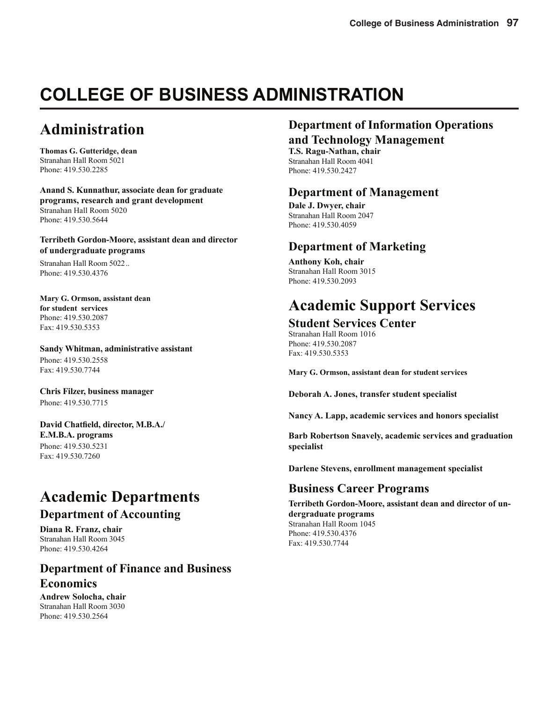# **COLLEGE OF BUSINESS ADMINISTRATION**

# **Administration**

**Thomas G. Gutteridge, dean** Stranahan Hall Room 5021 Phone: 419.530.2285

**Anand S. Kunnathur, associate dean for graduate programs, research and grant development** Stranahan Hall Room 5020 Phone: 419.530.5644

**Terribeth Gordon-Moore, assistant dean and director of undergraduate programs**

Stranahan Hall Room 5022 .. Phone: 419.530.4376

**Mary G. Ormson, assistant dean for student services** Phone: 419.530.2087 Fax: 419.530.5353

**Sandy Whitman, administrative assistant** Phone: 419.530.2558 Fax: 419.530.7744

**Chris Filzer, business manager**  Phone: 419.530.7715

David Chatfield, director, M.B.A./ **E.M.B.A. programs**  Phone: 419.530.5231 Fax: 419.530.7260

# **Academic Departments**

### **Department of Accounting**

**Diana R. Franz, chair** Stranahan Hall Room 3045 Phone: 419.530.4264

### **Department of Finance and Business Economics**

**Andrew Solocha, chair** Stranahan Hall Room 3030 Phone: 419.530.2564

# **Department of Information Operations**

**and Technology Management**

**T.S. Ragu-Nathan, chair** Stranahan Hall Room 4041 Phone: 419.530.2427

### **Department of Management**

**Dale J. Dwyer, chair** Stranahan Hall Room 2047 Phone: 419.530.4059

### **Department of Marketing**

**Anthony Koh, chair** Stranahan Hall Room 3015 Phone: 419.530.2093

# **Academic Support Services**

# **Student Services Center**

Stranahan Hall Room 1016 Phone: 419.530.2087 Fax: 419.530.5353

**Mary G. Ormson, assistant dean for student services**

**Deborah A. Jones, transfer student specialist**

**Nancy A. Lapp, academic services and honors specialist**

**Barb Robertson Snavely, academic services and graduation specialist**

**Darlene Stevens, enrollment management specialist**

## **Business Career Programs**

**Terribeth Gordon-Moore, assistant dean and director of undergraduate programs** Stranahan Hall Room 1045 Phone: 419.530.4376 Fax: 419.530.7744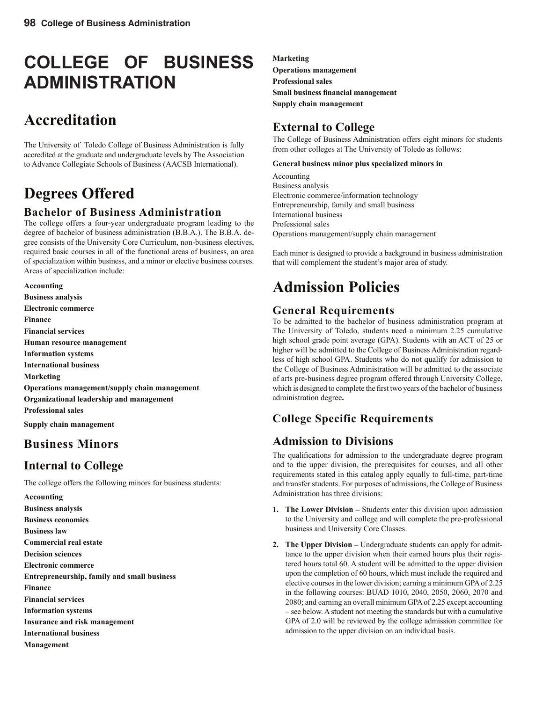# **COLLEGE OF BUSINESS ADMINISTRATION**

# **Accreditation**

The University of Toledo College of Business Administration is fully accredited at the graduate and undergraduate levels by The Association to Advance Collegiate Schools of Business (AACSB International).

# **Degrees Offered**

### **Bachelor of Business Administration**

The college offers a four-year undergraduate program leading to the degree of bachelor of business administration (B.B.A.). The B.B.A. degree consists of the University Core Curriculum, non-business electives, required basic courses in all of the functional areas of business, an area of specialization within business, and a minor or elective business courses. Areas of specialization include:

**Accounting Business analysis Electronic commerce Finance Financial services Human resource management Information systems International business Marketing Operations management/supply chain management Organizational leadership and management Professional sales Supply chain management**

# **Business Minors**

## **Internal to College**

The college offers the following minors for business students:

**Accounting Business analysis Business economics Business law Commercial real estate Decision sciences Electronic commerce Entrepreneurship, family and small business Finance Financial services Information systems Insurance and risk management International business Management**

**Marketing Operations management Professional sales Small business financial management Supply chain management**

# **External to College**

The College of Business Administration offers eight minors for students from other colleges at The University of Toledo as follows:

#### **General business minor plus specialized minors in**

Accounting Business analysis Electronic commerce/information technology Entrepreneurship, family and small business International business Professional sales Operations management/supply chain management

Each minor is designed to provide a background in business administration that will complement the student's major area of study.

# **Admission Policies**

### **General Requirements**

To be admitted to the bachelor of business administration program at The University of Toledo, students need a minimum 2.25 cumulative high school grade point average (GPA). Students with an ACT of 25 or higher will be admitted to the College of Business Administration regardless of high school GPA. Students who do not qualify for admission to the College of Business Administration will be admitted to the associate of arts pre-business degree program offered through University College, which is designed to complete the first two years of the bachelor of business administration degree**.**

# **College Specific Requirements**

## **Admission to Divisions**

The qualifications for admission to the undergraduate degree program and to the upper division, the prerequisites for courses, and all other requirements stated in this catalog apply equally to full-time, part-time and transfer students. For purposes of admissions, the College of Business Administration has three divisions:

- **1. The Lower Division** Students enter this division upon admission to the University and college and will complete the pre-professional business and University Core Classes.
- **2. The Upper Division** Undergraduate students can apply for admittance to the upper division when their earned hours plus their registered hours total 60. A student will be admitted to the upper division upon the completion of 60 hours, which must include the required and elective courses in the lower division; earning a minimum GPA of 2.25 in the following courses: BUAD 1010, 2040, 2050, 2060, 2070 and 2080; and earning an overall minimum GPA of 2.25 except accounting – see below. A student not meeting the standards but with a cumulative GPA of 2.0 will be reviewed by the college admission committee for admission to the upper division on an individual basis.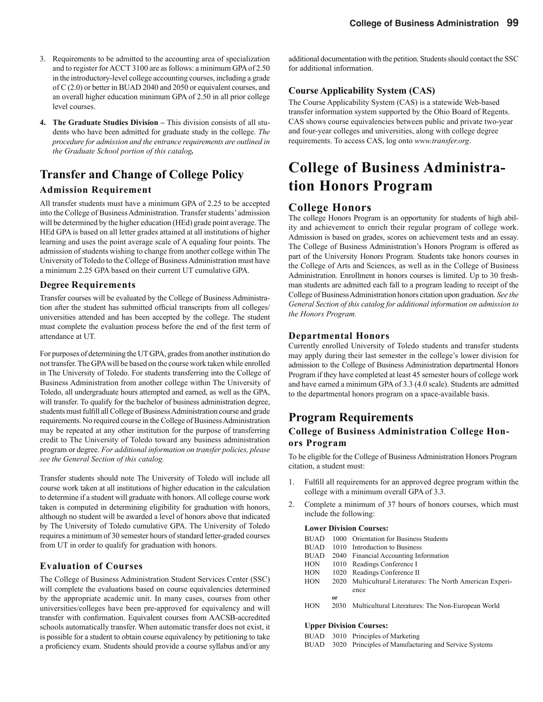- 3. Requirements to be admitted to the accounting area of specialization and to register for ACCT 3100 are as follows: a minimum GPA of 2.50 in the introductory-level college accounting courses, including a grade of C (2.0) or better in BUAD 2040 and 2050 or equivalent courses, and an overall higher education minimum GPA of 2.50 in all prior college level courses.
- **4. The Graduate Studies Division** This division consists of all students who have been admitted for graduate study in the college. *The procedure for admission and the entrance requirements are outlined in the Graduate School portion of this catalog.*

## **Transfer and Change of College Policy**

### **Admission Requirement**

All transfer students must have a minimum GPA of 2.25 to be accepted into the College of Business Administration. Transfer students' admission will be determined by the higher education (HEd) grade point average. The HEd GPA is based on all letter grades attained at all institutions of higher learning and uses the point average scale of A equaling four points. The admission of students wishing to change from another college within The University of Toledo to the College of Business Administration must have a minimum 2.25 GPA based on their current UT cumulative GPA.

#### **Degree Requirements**

Transfer courses will be evaluated by the College of Business Administration after the student has submitted official transcripts from all colleges/ universities attended and has been accepted by the college. The student must complete the evaluation process before the end of the first term of attendance at UT.

For purposes of determining the UT GPA, grades from another institution do not transfer. The GPA will be based on the course work taken while enrolled in The University of Toledo. For students transferring into the College of Business Administration from another college within The University of Toledo, all undergraduate hours attempted and earned, as well as the GPA, will transfer. To qualify for the bachelor of business administration degree, students must fulfill all College of Business Administration course and grade requirements. No required course in the College of Business Administration may be repeated at any other institution for the purpose of transferring credit to The University of Toledo toward any business administration program or degree. *For additional information on transfer policies, please see the General Section of this catalog.*

Transfer students should note The University of Toledo will include all course work taken at all institutions of higher education in the calculation to determine if a student will graduate with honors. All college course work taken is computed in determining eligibility for graduation with honors, although no student will be awarded a level of honors above that indicated by The University of Toledo cumulative GPA. The University of Toledo requires a minimum of 30 semester hours of standard letter-graded courses from UT in order to qualify for graduation with honors.

### **Evaluation of Courses**

The College of Business Administration Student Services Center (SSC) will complete the evaluations based on course equivalencies determined by the appropriate academic unit. In many cases, courses from other universities/colleges have been pre-approved for equivalency and will transfer with confirmation. Equivalent courses from AACSB-accredited schools automatically transfer. When automatic transfer does not exist, it is possible for a student to obtain course equivalency by petitioning to take a proficiency exam. Students should provide a course syllabus and/or any

additional documentation with the petition. Students should contact the SSC for additional information.

### **Course Applicability System (CAS)**

The Course Applicability System (CAS) is a statewide Web-based transfer information system supported by the Ohio Board of Regents. CAS shows course equivalencies between public and private two-year and four-year colleges and universities, along with college degree requirements. To access CAS, log onto *www.transfer.org*.

# **College of Business Administration Honors Program**

### **College Honors**

The college Honors Program is an opportunity for students of high ability and achievement to enrich their regular program of college work. Admission is based on grades, scores on achievement tests and an essay. The College of Business Administration's Honors Program is offered as part of the University Honors Program. Students take honors courses in the College of Arts and Sciences, as well as in the College of Business Administration. Enrollment in honors courses is limited. Up to 30 freshman students are admitted each fall to a program leading to receipt of the College of Business Administration honors citation upon graduation. *See the General Section of this catalog for additional information on admission to the Honors Program.*

#### **Departmental Honors**

Currently enrolled University of Toledo students and transfer students may apply during their last semester in the college's lower division for admission to the College of Business Administration departmental Honors Program if they have completed at least 45 semester hours of college work and have earned a minimum GPA of 3.3 (4.0 scale). Students are admitted to the departmental honors program on a space-available basis.

### **Program Requirements**

### **College of Business Administration College Honors Program**

To be eligible for the College of Business Administration Honors Program citation, a student must:

- 1. Fulfill all requirements for an approved degree program within the college with a minimum overall GPA of 3.3.
- 2. Complete a minimum of 37 hours of honors courses, which must include the following:

#### **Lower Division Courses:**

| <b>BUAD</b> |           | 1000 Orientation for Business Students                     |
|-------------|-----------|------------------------------------------------------------|
| <b>BUAD</b> | 1010      | Introduction to Business                                   |
| <b>BUAD</b> |           | 2040 Financial Accounting Information                      |
| <b>HON</b>  |           | 1010 Readings Conference I                                 |
| <b>HON</b>  |           | 1020 Readings Conference II                                |
| <b>HON</b>  |           | 2020 Multicultural Literatures: The North American Experi- |
|             |           | ence                                                       |
|             | <b>or</b> |                                                            |
| <b>HON</b>  | 2030      | Multicultural Literatures: The Non-European World          |
|             |           |                                                            |
|             |           |                                                            |

#### **Upper Division Courses:**

- BUAD 3010 Principles of Marketing
- BUAD 3020 Principles of Manufacturing and Service Systems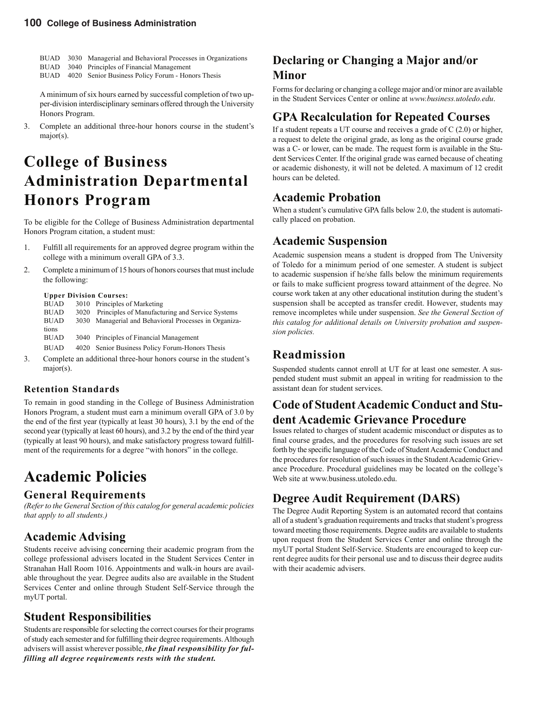- BUAD 3030 Managerial and Behavioral Processes in Organizations
- BUAD 3040 Principles of Financial Management
- BUAD 4020 Senior Business Policy Forum Honors Thesis

A minimum of six hours earned by successful completion of two upper-division interdisciplinary seminars offered through the University Honors Program.

3. Complete an additional three-hour honors course in the student's major(s).

# **College of Business Administration Departmental Honors Program**

To be eligible for the College of Business Administration departmental Honors Program citation, a student must:

- 1. Fulfill all requirements for an approved degree program within the college with a minimum overall GPA of 3.3.
- 2. Complete a minimum of 15 hours of honors courses that must include the following:

#### **Upper Division Courses:**

| <b>BUAD</b> |      | 3010 Principles of Marketing                          |
|-------------|------|-------------------------------------------------------|
| <b>BUAD</b> | 3020 | Principles of Manufacturing and Service Systems       |
| <b>BUAD</b> |      | 3030 Managerial and Behavioral Processes in Organiza- |
| tions       |      |                                                       |
| <b>BUAD</b> |      | 3040 Principles of Financial Management               |
| <b>BUAD</b> |      | 4020 Senior Business Policy Forum-Honors Thesis       |

3. Complete an additional three-hour honors course in the student's major(s).

### **Retention Standards**

To remain in good standing in the College of Business Administration Honors Program, a student must earn a minimum overall GPA of 3.0 by the end of the first year (typically at least 30 hours), 3.1 by the end of the second year (typically at least 60 hours), and 3.2 by the end of the third year (typically at least 90 hours), and make satisfactory progress toward fulfillment of the requirements for a degree "with honors" in the college.

# **Academic Policies**

### **General Requirements**

*(Refer to the General Section of this catalog for general academic policies that apply to all students.)*

## **Academic Advising**

Students receive advising concerning their academic program from the college professional advisers located in the Student Services Center in Stranahan Hall Room 1016. Appointments and walk-in hours are available throughout the year. Degree audits also are available in the Student Services Center and online through Student Self-Service through the myUT portal.

## **Student Responsibilities**

Students are responsible for selecting the correct courses for their programs of study each semester and for fulfilling their degree requirements. Although advisers will assist wherever possible, *the final responsibility for fulfilling all degree requirements rests with the student.*

# **Declaring or Changing a Major and/or Minor**

Forms for declaring or changing a college major and/or minor are available in the Student Services Center or online at *www.business.utoledo.edu*.

### **GPA Recalculation for Repeated Courses**

If a student repeats a UT course and receives a grade of  $C(2.0)$  or higher, a request to delete the original grade, as long as the original course grade was a C- or lower, can be made. The request form is available in the Student Services Center. If the original grade was earned because of cheating or academic dishonesty, it will not be deleted. A maximum of 12 credit hours can be deleted.

## **Academic Probation**

When a student's cumulative GPA falls below 2.0, the student is automatically placed on probation.

## **Academic Suspension**

Academic suspension means a student is dropped from The University of Toledo for a minimum period of one semester. A student is subject to academic suspension if he/she falls below the minimum requirements or fails to make sufficient progress toward attainment of the degree. No course work taken at any other educational institution during the student's suspension shall be accepted as transfer credit. However, students may remove incompletes while under suspension. *See the General Section of this catalog for additional details on University probation and suspension policies.*

# **Readmission**

Suspended students cannot enroll at UT for at least one semester. A suspended student must submit an appeal in writing for readmission to the assistant dean for student services.

### **Code of Student Academic Conduct and Student Academic Grievance Procedure**

Issues related to charges of student academic misconduct or disputes as to final course grades, and the procedures for resolving such issues are set forth by the specific language of the Code of Student Academic Conduct and the procedures for resolution of such issues in the Student Academic Grievance Procedure. Procedural guidelines may be located on the college's Web site at www.business.utoledo.edu.

# **Degree Audit Requirement (DARS)**

The Degree Audit Reporting System is an automated record that contains all of a student's graduation requirements and tracks that student's progress toward meeting those requirements. Degree audits are available to students upon request from the Student Services Center and online through the myUT portal Student Self-Service. Students are encouraged to keep current degree audits for their personal use and to discuss their degree audits with their academic advisers.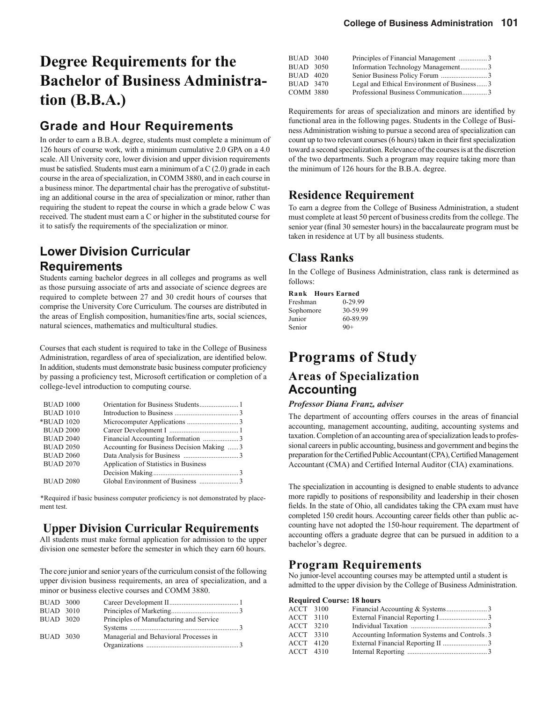# **Degree Requirements for the Bachelor of Business Administration (B.B.A.)**

# **Grade and Hour Requirements**

In order to earn a B.B.A. degree, students must complete a minimum of 126 hours of course work, with a minimum cumulative 2.0 GPA on a 4.0 scale. All University core, lower division and upper division requirements must be satisfied. Students must earn a minimum of a  $C(2.0)$  grade in each course in the area of specialization, in COMM 3880, and in each course in a business minor. The departmental chair has the prerogative of substituting an additional course in the area of specialization or minor, rather than requiring the student to repeat the course in which a grade below C was received. The student must earn a C or higher in the substituted course for it to satisfy the requirements of the specialization or minor.

# **Lower Division Curricular Requirements**

Students earning bachelor degrees in all colleges and programs as well as those pursuing associate of arts and associate of science degrees are required to complete between 27 and 30 credit hours of courses that comprise the University Core Curriculum. The courses are distributed in the areas of English composition, humanities/fine arts, social sciences, natural sciences, mathematics and multicultural studies.

Courses that each student is required to take in the College of Business Administration, regardless of area of specialization, are identified below. In addition, students must demonstrate basic business computer proficiency by passing a proficiency test, Microsoft certification or completion of a college-level introduction to computing course.

| <b>BUAD 1000</b> |                                            |
|------------------|--------------------------------------------|
| <b>BUAD 1010</b> |                                            |
| *BUAD 1020       |                                            |
| <b>BUAD 2000</b> |                                            |
| <b>BUAD 2040</b> | Financial Accounting Information 3         |
| <b>BUAD 2050</b> | Accounting for Business Decision Making  3 |
| <b>BUAD 2060</b> |                                            |
| <b>BUAD 2070</b> | Application of Statistics in Business      |
|                  |                                            |
| <b>BUAD 2080</b> |                                            |

\*Required if basic business computer proficiency is not demonstrated by placement test.

## **Upper Division Curricular Requirements**

All students must make formal application for admission to the upper division one semester before the semester in which they earn 60 hours.

The core junior and senior years of the curriculum consist of the following upper division business requirements, an area of specialization, and a minor or business elective courses and COMM 3880.

| <b>BUAD 3000</b>                     |                                         |  |
|--------------------------------------|-----------------------------------------|--|
| <b>BUAD 3010</b><br><b>BUAD 3020</b> | Principles of Manufacturing and Service |  |
|                                      |                                         |  |
| <b>BUAD 3030</b>                     | Managerial and Behavioral Processes in  |  |

| BUAD 3040        | Principles of Financial Management 3       |  |
|------------------|--------------------------------------------|--|
| <b>BUAD 3050</b> | Information Technology Management3         |  |
| <b>BUAD 4020</b> |                                            |  |
| <b>BUAD 3470</b> | Legal and Ethical Environment of Business3 |  |
| COMM 3880        | Professional Business Communication3       |  |

Requirements for areas of specialization and minors are identified by functional area in the following pages. Students in the College of Business Administration wishing to pursue a second area of specialization can count up to two relevant courses (6 hours) taken in their first specialization toward a second specialization. Relevance of the courses is at the discretion of the two departments. Such a program may require taking more than the minimum of 126 hours for the B.B.A. degree.

# **Residence Requirement**

To earn a degree from the College of Business Administration, a student must complete at least 50 percent of business credits from the college. The senior year (final 30 semester hours) in the baccalaureate program must be taken in residence at UT by all business students.

# **Class Ranks**

In the College of Business Administration, class rank is determined as follows:

#### **Rank Hours Earned**

| $0-29.99$ |
|-----------|
| 30-59.99  |
| 60-89.99  |
| $90+$     |
|           |

# **Programs of Study**

## **Areas of Specialization Accounting**

#### *Professor Diana Franz, adviser*

The department of accounting offers courses in the areas of financial accounting, management accounting, auditing, accounting systems and taxation. Completion of an accounting area of specialization leads to professional careers in public accounting, business and government and begins the preparation for the Certified Public Accountant (CPA), Certified Management Accountant (CMA) and Certified Internal Auditor (CIA) examinations.

The specialization in accounting is designed to enable students to advance more rapidly to positions of responsibility and leadership in their chosen fields. In the state of Ohio, all candidates taking the CPA exam must have completed 150 credit hours. Accounting career fields other than public accounting have not adopted the 150-hour requirement. The department of accounting offers a graduate degree that can be pursued in addition to a bachelor's degree.

### **Program Requirements**

No junior-level accounting courses may be attempted until a student is admitted to the upper division by the College of Business Administration.

#### **Required Course: 18 hours**

| ACCT 3100        |                                                |
|------------------|------------------------------------------------|
| <b>ACCT</b> 3110 |                                                |
| ACCT 3210        |                                                |
| ACCT 3310        | Accounting Information Systems and Controls. 3 |
| ACCT 4120        |                                                |
| <b>ACCT</b> 4310 |                                                |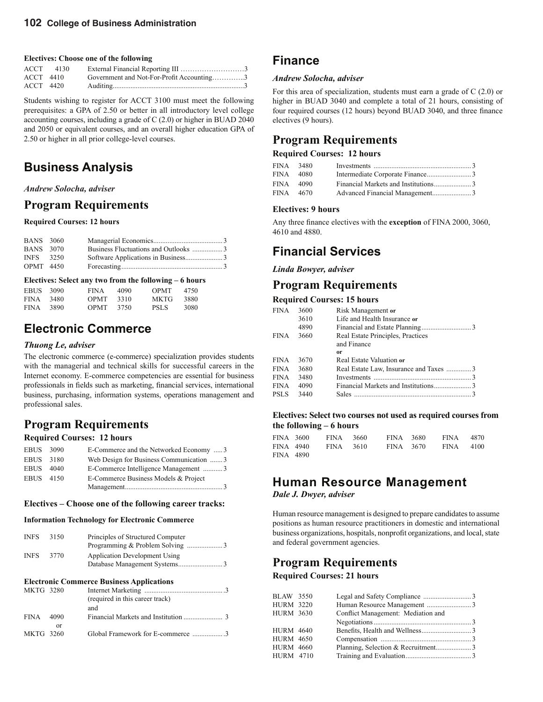#### **Electives: Choose one of the following**

|           | $ACCT$ 4130 | External Financial Reporting III 3        |  |
|-----------|-------------|-------------------------------------------|--|
| ACCT 4410 |             | Government and Not-For-Profit Accounting3 |  |
| ACCT 4420 |             |                                           |  |

Students wishing to register for ACCT 3100 must meet the following prerequisites: a GPA of 2.50 or better in all introductory level college accounting courses, including a grade of C (2.0) or higher in BUAD 2040 and 2050 or equivalent courses, and an overall higher education GPA of 2.50 or higher in all prior college-level courses.

# **Business Analysis**

#### *Andrew Solocha, adviser*

### **Program Requirements**

#### **Required Courses: 12 hours**

| <b>BANS</b> 3060 |  |  |
|------------------|--|--|
| <b>BANS</b> 3070 |  |  |
| <b>INFS</b> 3250 |  |  |
| <b>OPMT</b> 4450 |  |  |

#### **Electives: Select any two from the following – 6 hours**

| <b>EBUS</b> | 3090 | <b>FINA</b> | 4090 | <b>OPMT</b> | 4750 |
|-------------|------|-------------|------|-------------|------|
| <b>FINA</b> | 3480 | <b>OPMT</b> | 3310 | MKTG        | 3880 |
| <b>FINA</b> | 3890 | <b>OPMT</b> | 3750 | <b>PSLS</b> | 3080 |

# **Electronic Commerce**

#### *Thuong Le, adviser*

The electronic commerce (e-commerce) specialization provides students with the managerial and technical skills for successful careers in the Internet economy. E-commerce competencies are essential for business professionals in fields such as marketing, financial services, international business, purchasing, information systems, operations management and professional sales.

### **Program Requirements**

#### **Required Courses: 12 hours**

| EBUS 3090   |      | E-Commerce and the Networked Economy  3 |
|-------------|------|-----------------------------------------|
| <b>EBUS</b> | 3180 | Web Design for Business Communication 3 |
| <b>EBUS</b> | 4040 | E-Commerce Intelligence Management 3    |
| EBUS 4150   |      | E-Commerce Business Models & Project    |
|             |      |                                         |

#### **Electives – Choose one of the following career tracks:**

#### **Information Technology for Electronic Commerce**

| <b>INFS</b> | 3150 | Principles of Structured Computer    |
|-------------|------|--------------------------------------|
| <b>INFS</b> | 3770 | <b>Application Development Using</b> |

#### **Electronic Commerce Business Applications**

| <b>MKTG 3280</b> |        |                                   |
|------------------|--------|-----------------------------------|
|                  |        | (required in this career track)   |
|                  |        | and                               |
| <b>FINA</b>      | - 4090 |                                   |
|                  | or     |                                   |
| MKTG 3260        |        | Global Framework for E-commerce 3 |
|                  |        |                                   |

## **Finance**

#### *Andrew Solocha, adviser*

For this area of specialization, students must earn a grade of C (2.0) or higher in BUAD 3040 and complete a total of 21 hours, consisting of four required courses (12 hours) beyond BUAD 3040, and three finance electives (9 hours).

# **Program Requirements**

#### **Required Courses: 12 hours**

| FINA 3480<br>FINA 4080 |           |  |
|------------------------|-----------|--|
| FINA 4090              |           |  |
|                        | FINA 4670 |  |

#### **Electives: 9 hours**

Any three finance electives with the **exception** of FINA 2000, 3060, 4610 and 4880.

# **Financial Services**

#### *Linda Bowyer, adviser*

### **Program Requirements**

#### **Required Courses: 15 hours**

| FINA  | 3600 | Risk Management or                     |  |
|-------|------|----------------------------------------|--|
|       | 3610 | Life and Health Insurance or           |  |
|       | 4890 |                                        |  |
| FINA  | 3660 | Real Estate Principles, Practices      |  |
|       |      | and Finance                            |  |
|       |      | or                                     |  |
| FINA  | 3670 | Real Estate Valuation or               |  |
| FINA  | 3680 | Real Estate Law, Insurance and Taxes 3 |  |
| FINA  | 3480 |                                        |  |
| FINA  | 4090 |                                        |  |
| PSLS. | 3440 | <b>Sales</b>                           |  |
|       |      |                                        |  |

#### **Electives: Select two courses not used as required courses from the following – 6 hours**

| FINA 3600 |           | FINA 3660 | FINA 3680 | <b>FINA</b> | 4870 |
|-----------|-----------|-----------|-----------|-------------|------|
|           | FINA 4940 | FINA 3610 | FINA 3670 | FINA 4100   |      |
| FINA 4890 |           |           |           |             |      |

# **Human Resource Management**

*Dale J. Dwyer, adviser*

Human resource management is designed to prepare candidates to assume positions as human resource practitioners in domestic and international business organizations, hospitals, nonprofit organizations, and local, state and federal government agencies.

## **Program Requirements**

#### **Required Courses: 21 hours**

| <b>BLAW 3550</b> |                                    |  |
|------------------|------------------------------------|--|
| <b>HURM 3220</b> |                                    |  |
| <b>HURM 3630</b> | Conflict Management: Mediation and |  |
|                  |                                    |  |
| <b>HURM 4640</b> |                                    |  |
| <b>HURM 4650</b> |                                    |  |
| <b>HURM 4660</b> |                                    |  |
| <b>HURM 4710</b> |                                    |  |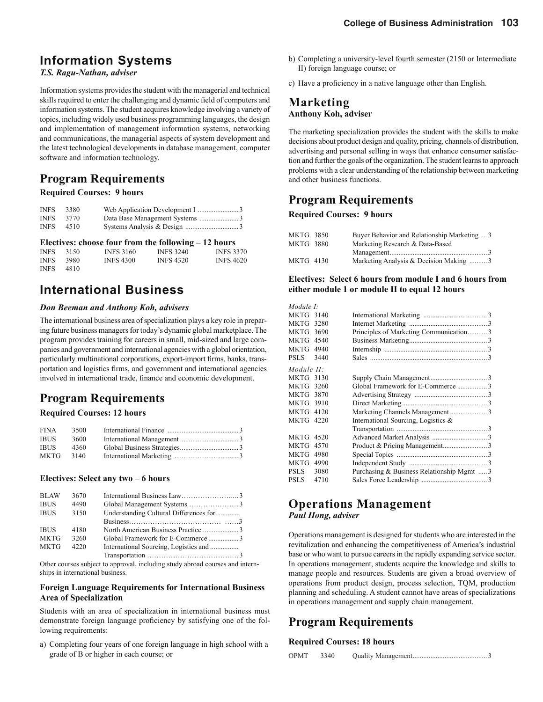# **Information Systems**

#### *T.S. Ragu-Nathan, adviser*

Information systems provides the student with the managerial and technical skills required to enter the challenging and dynamic field of computers and information systems. The student acquires knowledge involving a variety of topics, including widely used business programming languages, the design and implementation of management information systems, networking and communications, the managerial aspects of system development and the latest technological developments in database management, computer software and information technology.

### **Program Requirements**

#### **Required Courses: 9 hours**

| <b>INFS</b> | 3380 |  |
|-------------|------|--|
| <b>INFS</b> | 3770 |  |
| <b>INFS</b> | 4510 |  |

|             |      |                  | Electives: choose four from the following $-12$ hours |                  |
|-------------|------|------------------|-------------------------------------------------------|------------------|
| <b>INFS</b> | 3150 | <b>INFS 3160</b> | <b>INFS 3240</b>                                      | <b>INFS 3370</b> |
| <b>INFS</b> | 3980 | <b>INFS 4300</b> | <b>INFS 4320</b>                                      | <b>INFS 4620</b> |
| <b>INFS</b> | 4810 |                  |                                                       |                  |

# **International Business**

#### *Don Beeman and Anthony Koh, advisers*

The international business area of specialization plays a key role in preparing future business managers for today's dynamic global marketplace. The program provides training for careers in small, mid-sized and large companies and government and international agencies with a global orientation, particularly multinational corporations, export-import firms, banks, transportation and logistics firms, and government and international agencies involved in international trade, finance and economic development.

# **Program Requirements**

#### **Required Courses: 12 hours**

| <b>FINA</b> | 3500 |  |
|-------------|------|--|
| <b>IBUS</b> | 3600 |  |
| <b>IBUS</b> | 4360 |  |
| MKTG        | 3140 |  |
|             |      |  |

#### **Electives: Select any two – 6 hours**

| <b>BLAW</b> | 3670 |                                        |  |
|-------------|------|----------------------------------------|--|
| <b>IBUS</b> | 4490 |                                        |  |
| <b>IBUS</b> | 3150 | Understanding Cultural Differences for |  |
|             |      |                                        |  |
| <b>IBUS</b> | 4180 |                                        |  |
| <b>MKTG</b> | 3260 |                                        |  |
| <b>MKTG</b> | 4220 |                                        |  |
|             |      |                                        |  |

Other courses subject to approval, including study abroad courses and internships in international business.

#### **Foreign Language Requirements for International Business Area of Specialization**

Students with an area of specialization in international business must demonstrate foreign language proficiency by satisfying one of the following requirements:

a) Completing four years of one foreign language in high school with a grade of B or higher in each course; or

- b) Completing a university-level fourth semester (2150 or Intermediate II) foreign language course; or
- c) Have a proficiency in a native language other than English.

### **Marketing Anthony Koh, adviser**

The marketing specialization provides the student with the skills to make decisions about product design and quality, pricing, channels of distribution, advertising and personal selling in ways that enhance consumer satisfaction and further the goals of the organization. The student learns to approach problems with a clear understanding of the relationship between marketing and other business functions.

## **Program Requirements**

#### **Required Courses: 9 hours**

| MKTG 3850 | Buyer Behavior and Relationship Marketing  3 |  |
|-----------|----------------------------------------------|--|
| MKTG 3880 | Marketing Research & Data-Based              |  |
|           |                                              |  |
| MKTG 4130 | Marketing Analysis & Decision Making 3       |  |

#### **Electives: Select 6 hours from module I and 6 hours from either module 1 or module II to equal 12 hours**

| Module I:        |      |                                            |  |
|------------------|------|--------------------------------------------|--|
| <b>MKTG 3140</b> |      |                                            |  |
| <b>MKTG 3280</b> |      |                                            |  |
| MKTG 3690        |      | Principles of Marketing Communication3     |  |
| MKTG 4540        |      |                                            |  |
| MKTG 4940        |      |                                            |  |
| PSLS-            | 3440 |                                            |  |
| Module II:       |      |                                            |  |
| MKTG 3130        |      |                                            |  |
| <b>MKTG 3260</b> |      | Global Framework for E-Commerce 3          |  |
| <b>MKTG 3870</b> |      |                                            |  |
| MKTG 3910        |      |                                            |  |
| <b>MKTG 4120</b> |      |                                            |  |
| <b>MKTG 4220</b> |      | International Sourcing, Logistics $\&$     |  |
|                  |      |                                            |  |
| <b>MKTG 4520</b> |      |                                            |  |
| MKTG 4570        |      |                                            |  |
| MKTG 4980        |      |                                            |  |
| MKTG 4990        |      |                                            |  |
| PSLS             | 3080 | Purchasing & Business Relationship Mgmt  3 |  |
| PSLS             | 4710 |                                            |  |
|                  |      |                                            |  |

### **Operations Management** *Paul Hong, adviser*

Operations management is designed for students who are interested in the revitalization and enhancing the competitiveness of America's industrial base or who want to pursue careers in the rapidly expanding service sector. In operations management, students acquire the knowledge and skills to manage people and resources. Students are given a broad overview of operations from product design, process selection, TQM, production planning and scheduling. A student cannot have areas of specializations in operations management and supply chain management.

## **Program Requirements**

#### **Required Courses: 18 hours**

|  | OPMT | 3340 |  |
|--|------|------|--|
|--|------|------|--|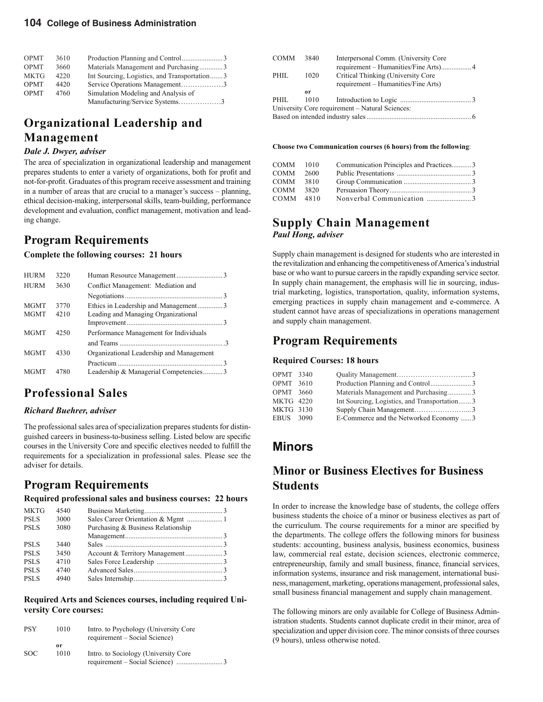| <b>OPMT</b> | 3610 |                                              |
|-------------|------|----------------------------------------------|
| <b>OPMT</b> | 3660 | Materials Management and Purchasing3         |
| <b>MKTG</b> | 4220 | Int Sourcing, Logistics, and Transportation3 |
| <b>OPMT</b> | 4420 | Service Operations Management3               |
| <b>OPMT</b> | 4760 | Simulation Modeling and Analysis of          |
|             |      | Manufacturing/Service Systems3               |

# **Organizational Leadership and Management**

#### *Dale J. Dwyer, adviser*

The area of specialization in organizational leadership and management prepares students to enter a variety of organizations, both for profit and not-for-profit. Graduates of this program receive assessment and training in a number of areas that are crucial to a manager's success – planning, ethical decision-making, interpersonal skills, team-building, performance development and evaluation, conflict management, motivation and leading change.

### **Program Requirements**

#### **Complete the following courses: 21 hours**

| <b>HURM</b> | 3220 |                                          |  |
|-------------|------|------------------------------------------|--|
| <b>HURM</b> | 3630 | Conflict Management: Mediation and       |  |
|             |      |                                          |  |
| <b>MGMT</b> | 3770 | Ethics in Leadership and Management3     |  |
| <b>MGMT</b> | 4210 | Leading and Managing Organizational      |  |
|             |      |                                          |  |
| <b>MGMT</b> | 4250 | Performance Management for Individuals   |  |
|             |      |                                          |  |
| <b>MGMT</b> | 4330 | Organizational Leadership and Management |  |
|             |      |                                          |  |
| <b>MGMT</b> | 4780 | Leadership & Managerial Competencies3    |  |
|             |      |                                          |  |

### **Professional Sales**

### *Richard Buehrer, adviser*

The professional sales area of specialization prepares students for distinguished careers in business-to-business selling. Listed below are specific courses in the University Core and specific electives needed to fulfill the requirements for a specialization in professional sales. Please see the adviser for details.

### **Program Requirements**

**Required professional sales and business courses: 22 hours**

| <b>MKTG</b> | 4540 |                                    |  |
|-------------|------|------------------------------------|--|
| <b>PSLS</b> | 3000 |                                    |  |
| <b>PSLS</b> | 3080 | Purchasing & Business Relationship |  |
|             |      |                                    |  |
| <b>PSLS</b> | 3440 |                                    |  |
| <b>PSLS</b> | 3450 |                                    |  |
| <b>PSLS</b> | 4710 |                                    |  |
| <b>PSLS</b> | 4740 |                                    |  |
| <b>PSLS</b> | 4940 |                                    |  |
|             |      |                                    |  |

#### **Required Arts and Sciences courses, including required University Core courses:**

| <b>PSY</b> | 1010 | Intro. to Psychology (University Core<br>requirement – Social Science) |
|------------|------|------------------------------------------------------------------------|
|            | or   |                                                                        |
| SOC.       | 1010 | Intro. to Sociology (University Core                                   |
|            |      |                                                                        |

| COMM | 3840 | Interpersonal Comm. (University Core            |  |
|------|------|-------------------------------------------------|--|
|      |      |                                                 |  |
| PHIL | 1020 | Critical Thinking (University Core              |  |
|      |      | requirement – Humanities/Fine Arts)             |  |
|      | 0r   |                                                 |  |
| PHIL | 1010 |                                                 |  |
|      |      | University Core requirement – Natural Sciences: |  |
|      |      |                                                 |  |

#### **Choose two Communication courses (6 hours) from the following**:

| COMM 1010 |      | Communication Principles and Practices3 |  |
|-----------|------|-----------------------------------------|--|
| COMM      | 2600 |                                         |  |
| COMM 3810 |      |                                         |  |
| COMM 3820 |      |                                         |  |
| COMM 4810 |      |                                         |  |

### **Supply Chain Management** *Paul Hong, adviser*

Supply chain management is designed for students who are interested in the revitalization and enhancing the competitiveness of America's industrial base or who want to pursue careers in the rapidly expanding service sector. In supply chain management, the emphasis will lie in sourcing, industrial marketing, logistics, transportation, quality, information systems, emerging practices in supply chain management and e-commerce. A student cannot have areas of specializations in operations management and supply chain management.

### **Program Requirements**

#### **Required Courses: 18 hours**

| OPMT 3340        |                                              |  |
|------------------|----------------------------------------------|--|
| <b>OPMT</b> 3610 |                                              |  |
| <b>OPMT</b> 3660 | Materials Management and Purchasing3         |  |
| <b>MKTG 4220</b> | Int Sourcing, Logistics, and Transportation3 |  |
| MKTG 3130        |                                              |  |
| EBUS 3090        | E-Commerce and the Networked Economy 3       |  |

### **Minors**

## **Minor or Business Electives for Business Students**

In order to increase the knowledge base of students, the college offers business students the choice of a minor or business electives as part of the curriculum. The course requirements for a minor are specified by the departments. The college offers the following minors for business students: accounting, business analysis, business economics, business law, commercial real estate, decision sciences, electronic commerce, entrepreneurship, family and small business, finance, financial services, information systems, insurance and risk management, international business, management, marketing, operations management, professional sales, small business financial management and supply chain management.

The following minors are only available for College of Business Administration students. Students cannot duplicate credit in their minor, area of specialization and upper division core. The minor consists of three courses (9 hours), unless otherwise noted.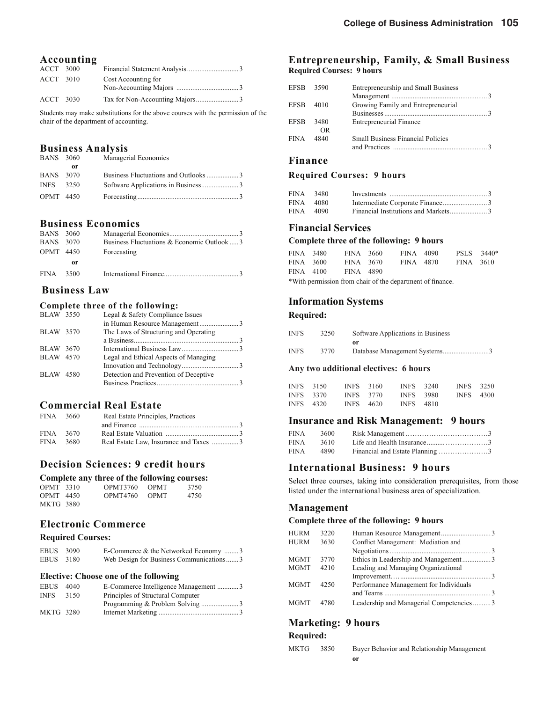| <b>ACCT</b> 3000 |                     |
|------------------|---------------------|
| ACCT 3010        | Cost Accounting for |
|                  |                     |
| ACCT 3030        |                     |

Students may make substitutions for the above courses with the permission of the chair of the department of accounting.

#### **Business Analysis**

| <b>BANS</b> 3060 |    | Managerial Economics |
|------------------|----|----------------------|
|                  | or |                      |
| <b>BANS</b> 3070 |    |                      |
| INFS 3250        |    |                      |
| <b>OPMT</b> 4450 |    |                      |

#### **Business Economics**

| <b>BANS</b> 3060 |      |                                             |
|------------------|------|---------------------------------------------|
| <b>BANS</b> 3070 |      | Business Fluctuations & Economic Outlook  3 |
| <b>OPMT</b> 4450 |      | Forecasting                                 |
|                  | or   |                                             |
| <b>FINA</b>      | 3500 |                                             |

#### **Business Law**

#### **Complete three of the following:**

| <b>BLAW</b> 3550 | Legal & Safety Compliance Issues      |  |
|------------------|---------------------------------------|--|
|                  |                                       |  |
| <b>BLAW</b> 3570 | The Laws of Structuring and Operating |  |
|                  |                                       |  |
| <b>BLAW</b> 3670 |                                       |  |
| <b>BLAW</b> 4570 | Legal and Ethical Aspects of Managing |  |
|                  |                                       |  |
| <b>BLAW 4580</b> | Detection and Prevention of Deceptive |  |
|                  |                                       |  |
|                  |                                       |  |

### **Commercial Real Estate**

| FINA 3660 | Real Estate Principles, Practices                                                                              |  |
|-----------|----------------------------------------------------------------------------------------------------------------|--|
|           | and Finance 200 and Finance 200 and Finance 200 and Finance 200 and 200 and 200 and 200 and 200 and 200 and 20 |  |
| FINA 3670 |                                                                                                                |  |
| FINA 3680 |                                                                                                                |  |

### **Decision Sciences: 9 credit hours**

|                  | Complete any three of the following courses: |        |      |
|------------------|----------------------------------------------|--------|------|
| <b>OPMT</b> 3310 | OPMT3760 OPMT                                |        | 3750 |
| $OPMT$ 4450      | <b>OPMT4760</b>                              | - OPMT | 4750 |
| <b>MKTG 3880</b> |                                              |        |      |

#### **Electronic Commerce**

#### **Required Courses:**

| EBUS 3090 | E-Commerce & the Networked Economy 3    |
|-----------|-----------------------------------------|
| EBUS 3180 | Web Design for Business Communications3 |

#### **Elective: Choose one of the following**

| EBUS        | 4040 |                                   |  |
|-------------|------|-----------------------------------|--|
| <b>INFS</b> | 3150 | Principles of Structural Computer |  |
|             |      |                                   |  |
| MKTG 3280   |      |                                   |  |

#### **Entrepreneurship, Family, & Small Business Required Courses: 9 hours**

| EFSB 3590 |      | Entrepreneurship and Small Business      |  |
|-----------|------|------------------------------------------|--|
|           |      |                                          |  |
| EFSB      | 4010 | Growing Family and Entrepreneurial       |  |
|           |      |                                          |  |
| EFSB      | 3480 | <b>Entrepreneurial Finance</b>           |  |
|           | OR.  |                                          |  |
| FINA      | 4840 | <b>Small Business Financial Policies</b> |  |
|           |      |                                          |  |

### **Finance**

#### **Required Courses: 9 hours**

| FINA 3480 |  |
|-----------|--|
| FINA 4080 |  |
| FINA 4090 |  |

#### **Financial Services**

#### **Complete three of the following: 9 hours**

| FINA 3480 | FINA 3660        | FINA 4090                                                 | PSLS 3440* |  |
|-----------|------------------|-----------------------------------------------------------|------------|--|
| FINA 3600 | FINA 3670        | FINA 4870                                                 | FINA 3610  |  |
| FINA 4100 | <b>FINA</b> 4890 |                                                           |            |  |
|           |                  | *With permission from chair of the department of finance. |            |  |

#### **Information Systems**

#### **Required:**

| <b>INFS</b> | 3250 | Software Applications in Business |  |
|-------------|------|-----------------------------------|--|
|             |      | or                                |  |
| <b>INFS</b> | 3770 | Database Management Systems3      |  |

#### **Any two additional electives: 6 hours**

| INFS 3150 |           | INFS 3160 | <b>INFS</b> 3240 | <b>INFS</b> 3250 |  |
|-----------|-----------|-----------|------------------|------------------|--|
|           | INFS 3370 | INFS 3770 | <b>INFS</b> 3980 | <b>INFS</b> 4300 |  |
| INFS 4320 |           | INFS 4620 | <b>INFS</b> 4810 |                  |  |

#### **Insurance and Risk Management: 9 hours**

| FINA        | 3600 |                                 |  |
|-------------|------|---------------------------------|--|
| <b>FINA</b> | 3610 |                                 |  |
| <b>FINA</b> | 4890 | Financial and Estate Planning 3 |  |

### **International Business: 9 hours**

Select three courses, taking into consideration prerequisites, from those listed under the international business area of specialization.

#### **Management**

#### **Complete three of the following: 9 hours**

| <b>HURM</b> | 3220 |                                         |  |
|-------------|------|-----------------------------------------|--|
| <b>HURM</b> | 3630 | Conflict Management: Mediation and      |  |
|             |      |                                         |  |
| MGMT        | 3770 | Ethics in Leadership and Management3    |  |
| MGMT        | 4210 | Leading and Managing Organizational     |  |
|             |      |                                         |  |
| MGMT        | 4250 | Performance Management for Individuals  |  |
|             |      |                                         |  |
| MGMT        | 4780 | Leadership and Managerial Competencies3 |  |
|             |      |                                         |  |

### **Marketing: 9 hours**

#### **Required:**

| MKTG | 3850 | Buyer Behavior and Relationship Management |
|------|------|--------------------------------------------|
|      |      | or                                         |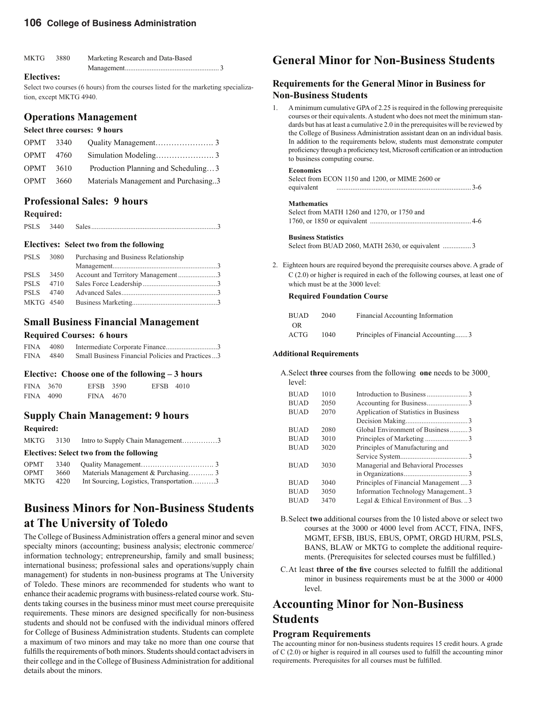#### **106 College of Business Administration**

| MKTG | 3880 | Marketing Research and Data-Based |
|------|------|-----------------------------------|
|      |      |                                   |

#### **Electives:**

Select two courses (6 hours) from the courses listed for the marketing specialization, except MKTG 4940.

### **Operations Management**

#### **Select three courses: 9 hours**

| OPMT 3340        |                                      |
|------------------|--------------------------------------|
| <b>OPMT</b> 4760 |                                      |
| $OPMT$ 3610      | Production Planning and Scheduling3  |
| <b>OPMT</b> 3660 | Materials Management and Purchasing3 |

### **Professional Sales: 9 hours**

#### **Required:**

| <b>PSLS</b> | 3440 |  |
|-------------|------|--|
|             |      |  |

#### **Electives: Select two from the following**

| PSLS 3080 | Purchasing and Business Relationship |  |
|-----------|--------------------------------------|--|
| PSLS 3450 | Account and Territory Management3    |  |
| PSLS 4710 |                                      |  |
| PSLS 4740 |                                      |  |
| MKTG 4540 |                                      |  |

# **Small Business Financial Management**

#### **Required Courses: 6 hours**

| <b>FINA</b> | - 4080 - |                                                   |
|-------------|----------|---------------------------------------------------|
| <b>FINA</b> | 4840     | Small Business Financial Policies and Practices 3 |

#### **Electiv**e**: Choose one of the following – 3 hours**

| FINA 3670 | EFSB 3590 | EFSB 4010 |  |
|-----------|-----------|-----------|--|
| FINA 4090 | FINA 4670 |           |  |

### **Supply Chain Management: 9 hours**

**Required:** 

|     |     | MKTG 3130 Intro to Supply Chain Management3                                                                                                                                                                                                                                                      |  |
|-----|-----|--------------------------------------------------------------------------------------------------------------------------------------------------------------------------------------------------------------------------------------------------------------------------------------------------|--|
|     |     | Electives: Select two from the following                                                                                                                                                                                                                                                         |  |
|     |     |                                                                                                                                                                                                                                                                                                  |  |
| CDM | 200 | $\mathbf{M}$ and $\mathbf{M}$ and $\mathbf{M}$ and $\mathbf{M}$ and $\mathbf{M}$ and $\mathbf{M}$ and $\mathbf{M}$ and $\mathbf{M}$ and $\mathbf{M}$ and $\mathbf{M}$ and $\mathbf{M}$ and $\mathbf{M}$ and $\mathbf{M}$ and $\mathbf{M}$ and $\mathbf{M}$ and $\mathbf{M}$ and $\mathbf{M}$ and |  |

| <b>OPMT</b> | 3660 |                                          |
|-------------|------|------------------------------------------|
| MKTG        | 4220 | Int Sourcing, Logistics, Transportation3 |

# **Business Minors for Non-Business Students at The University of Toledo**

The College of Business Administration offers a general minor and seven specialty minors (accounting; business analysis; electronic commerce/ information technology; entrepreneurship, family and small business; international business; professional sales and operations/supply chain management) for students in non-business programs at The University of Toledo. These minors are recommended for students who want to enhance their academic programs with business-related course work. Students taking courses in the business minor must meet course prerequisite requirements. These minors are designed specifically for non-business students and should not be confused with the individual minors offered for College of Business Administration students. Students can complete a maximum of two minors and may take no more than one course that fulfills the requirements of both minors. Students should contact advisers in their college and in the College of Business Administration for additional details about the minors.

### **General Minor for Non-Business Students**

#### **Requirements for the General Minor in Business for Non-Business Students**

1. A minimum cumulative GPA of 2.25 is required in the following prerequisite courses or their equivalents. A student who does not meet the minimum standards but has at least a cumulative 2.0 in the prerequisites will be reviewed by the College of Business Administration assistant dean on an individual basis. In addition to the requirements below, students must demonstrate computer proficiency through a proficiency test, Microsoft certification or an introduction to business computing course.

#### **Economics**

|            | Select from ECON 1150 and 1200, or MIME 2600 or |  |
|------------|-------------------------------------------------|--|
| equivalent | 3-6                                             |  |

#### **Mathematics**

| Select from MATH 1260 and 1270, or 1750 and |  |
|---------------------------------------------|--|
|                                             |  |

#### **Business Statistics**

Select from BUAD 2060, MATH 2630, or equivalent ................ 3

2. Eighteen hours are required beyond the prerequisite courses above. A grade of C (2.0) or higher is required in each of the following courses, at least one of which must be at the 3000 level:

#### **Required Foundation Course**

| <b>BUAD</b> | 2040 | Financial Accounting Information    |
|-------------|------|-------------------------------------|
| OR.         |      |                                     |
| ACTG        | 1040 | Principles of Financial Accounting3 |

#### **Additional Requirements**

 A. Select **three** courses from the following **one** needs to be 3000+ level:

| <b>BUAD</b> | 1010 |                                       |
|-------------|------|---------------------------------------|
| <b>BUAD</b> | 2050 |                                       |
| <b>BUAD</b> | 2070 | Application of Statistics in Business |
|             |      |                                       |
| <b>BUAD</b> | 2080 | Global Environment of Business3       |
| <b>BUAD</b> | 3010 |                                       |
| <b>BUAD</b> | 3020 | Principles of Manufacturing and       |
|             |      |                                       |
| <b>BUAD</b> | 3030 | Managerial and Behavioral Processes   |
|             |      |                                       |
| <b>BUAD</b> | 3040 | Principles of Financial Management  3 |
| <b>BUAD</b> | 3050 | Information Technology Management3    |
| <b>BUAD</b> | 3470 | Legal & Ethical Environment of Bus. 3 |

- B. Select **two** additional courses from the 10 listed above or select two courses at the 3000 or 4000 level from ACCT, FINA, INFS, MGMT, EFSB, IBUS, EBUS, OPMT, ORGD HURM, PSLS, BANS, BLAW or MKTG to complete the additional requirements. (Prerequisites for selected courses must be fulfilled.)
- C. At least **three of the five** courses selected to fulfill the additional minor in business requirements must be at the 3000 or 4000 level.

### **Accounting Minor for Non-Business Students**

#### **Program Requirements**

The accounting minor for non-business students requires 15 credit hours. A grade of  $C(2.0)$  or higher is required in all courses used to fulfill the accounting minor requirements. Prerequisites for all courses must be fulfilled.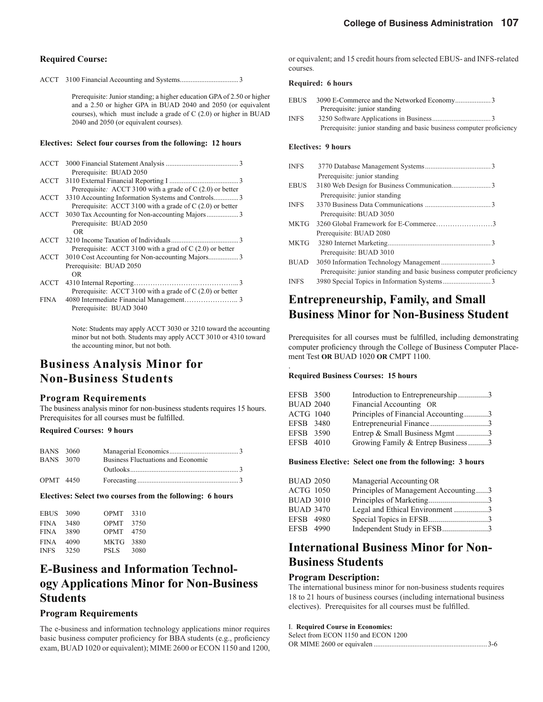#### **Required Course:**

ACCT 3100 Financial Accounting and Systems ................................. 3

Prerequisite: Junior standing; a higher education GPA of 2.50 or higher and a 2.50 or higher GPA in BUAD 2040 and 2050 (or equivalent courses), which must include a grade of C (2.0) or higher in BUAD 2040 and 2050 (or equivalent courses).

#### **Electives: Select four courses from the following: 12 hours**

|       | Prerequisite: BUAD 2050                                    |
|-------|------------------------------------------------------------|
|       |                                                            |
|       | Prerequisite: ACCT 3100 with a grade of $C(2.0)$ or better |
|       | ACCT 3310 Accounting Information Systems and Controls3     |
|       | Prerequisite: ACCT 3100 with a grade of $C(2.0)$ or better |
|       | ACCT 3030 Tax Accounting for Non-accounting Majors3        |
|       | Prerequisite: BUAD 2050                                    |
|       | OR                                                         |
|       |                                                            |
|       | Prerequisite: ACCT 3100 with a grad of $C(2.0)$ or better  |
|       | ACCT 3010 Cost Accounting for Non-accounting Majors3       |
|       | Prerequisite: BUAD 2050                                    |
|       | OR.                                                        |
|       |                                                            |
|       | Prerequisite: ACCT 3100 with a grade of $C(2.0)$ or better |
| FINA. |                                                            |

Note: Students may apply ACCT 3030 or 3210 toward the accounting minor but not both. Students may apply ACCT 3010 or 4310 toward the accounting minor, but not both.

### **Business Analysis Minor for Non-Business Students**

Prerequisite: BUAD 3040

#### **Program Requirements**

The business analysis minor for non-business students requires 15 hours. Prerequisites for all courses must be fulfilled.

#### **Required Courses: 9 hours**

| <b>BANS</b> 3060 |                                    |  |
|------------------|------------------------------------|--|
| <b>BANS</b> 3070 | Business Fluctuations and Economic |  |
|                  |                                    |  |
| <b>OPMT</b> 4450 |                                    |  |

#### **Electives: Select two courses from the following: 6 hours**

| <b>EBUS</b> | 3090 | OPMT        | 3310 |
|-------------|------|-------------|------|
| FINA        | 3480 | OPMT        | 3750 |
| <b>FINA</b> | 3890 | OPMT        | 4750 |
| FINA        | 4090 | MKTG        | 3880 |
| <b>INFS</b> | 3250 | <b>PSLS</b> | 3080 |

## **E-Business and Information Technology Applications Minor for Non-Business Students**

#### **Program Requirements**

The e-business and information technology applications minor requires basic business computer proficiency for BBA students (e.g., proficiency exam, BUAD 1020 or equivalent); MIME 2600 or ECON 1150 and 1200, or equivalent; and 15 credit hours from selected EBUS- and INFS-related courses.

#### **Required: 6 hours**

| <b>EBUS</b> |                                                                       |
|-------------|-----------------------------------------------------------------------|
|             | Prerequisite: junior standing                                         |
| <b>INFS</b> |                                                                       |
|             | Prerequisite: junior standing and basic business computer proficiency |

#### **Electives: 9 hours**

| <b>INFS</b> |                                                                       |
|-------------|-----------------------------------------------------------------------|
|             | Prerequisite: junior standing                                         |
| <b>EBUS</b> |                                                                       |
|             | Prerequisite: junior standing                                         |
| <b>INFS</b> |                                                                       |
|             | Prerequisite: BUAD 3050                                               |
| <b>MKTG</b> |                                                                       |
|             | Prerequisite: BUAD 2080                                               |
| MKTG        |                                                                       |
|             | Prerequisite: BUAD 3010                                               |
| <b>BUAD</b> |                                                                       |
|             | Prerequisite: junior standing and basic business computer proficiency |
| <b>INFS</b> |                                                                       |
|             |                                                                       |

## **Entrepreneurship, Family, and Small Business Minor for Non-Business Student**

Prerequisites for all courses must be fulfilled, including demonstrating computer proficiency through the College of Business Computer Placement Test **OR** BUAD 1020 **OR** CMPT 1100.

#### **Required Business Courses: 15 hours**

.

| EFSB 3500        | Introduction to Entrepreneurship 3  |  |
|------------------|-------------------------------------|--|
| <b>BUAD 2040</b> | Financial Accounting OR             |  |
| <b>ACTG 1040</b> | Principles of Financial Accounting3 |  |
| EFSB 3480        |                                     |  |
| EFSB 3590        | Entrep & Small Business Mgmt 3      |  |
| EFSB 4010        | Growing Family & Entrep Business3   |  |
|                  |                                     |  |

#### **Business Elective: Select one from the following: 3 hours**

| <b>BUAD 2050</b> | Managerial Accounting OR             |  |
|------------------|--------------------------------------|--|
| <b>ACTG 1050</b> | Principles of Management Accounting3 |  |
| <b>BUAD 3010</b> | Principles of Marketing3             |  |
| <b>BUAD 3470</b> | Legal and Ethical Environment 3      |  |
| EFSB 4980        | Special Topics in EFSB3              |  |
| EFSB 4990        | Independent Study in EFSB3           |  |

## **International Business Minor for Non-Business Students**

#### **Program Description:**

The international business minor for non-business students requires 18 to 21 hours of business courses (including international business electives). Prerequisites for all courses must be fulfilled.

#### I. **Required Course in Economics:**

| Select from ECON 1150 and ECON 1200 |  |
|-------------------------------------|--|
|                                     |  |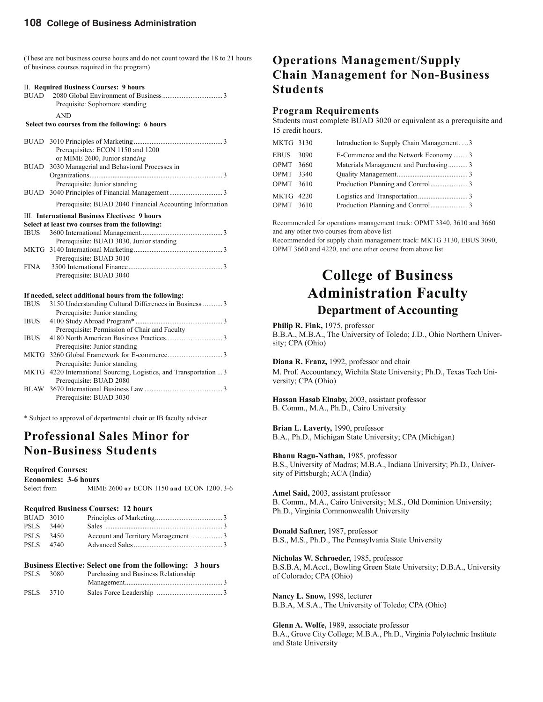(These are not business course hours and do not count toward the 18 to 21 hours of business courses required in the program)

| II. Required Business Courses: 9 hours<br>Prequisite: Sophomore standing |
|--------------------------------------------------------------------------|
| <b>AND</b><br>Select two courses from the following: 6 hours             |
|                                                                          |
|                                                                          |
| Prerequisites: ECON 1150 and 1200                                        |
| or MIME 2600, Junior standing                                            |
| BUAD 3030 Managerial and Behavioral Processes in                         |
|                                                                          |
| Prerequisite: Junior standing                                            |
|                                                                          |
| Prerequisite: BUAD 2040 Financial Accounting Information                 |
| III. International Business Electives: 9 hours                           |
| Select at least two courses from the following:                          |
|                                                                          |
| Prerequisite: BUAD 3030, Junior standing                                 |
|                                                                          |

#### Prerequisite: BUAD 3010 FINA 3500 International Finance .... Prerequisite: BUAD 3040

#### **If needed, select additional hours from the following:**

| <b>IBUS</b> | 3150 Understanding Cultural Differences in Business  3             |
|-------------|--------------------------------------------------------------------|
|             | Prerequisite: Junior standing                                      |
| <b>IBUS</b> |                                                                    |
|             | Prerequisite: Permission of Chair and Faculty                      |
| <b>IBUS</b> |                                                                    |
|             | Prerequisite: Junior standing                                      |
|             |                                                                    |
|             | Prerequisite: Junior standing                                      |
|             | MKTG 4220 International Sourcing, Logistics, and Transportation  3 |
|             | Prerequisite: BUAD 2080                                            |
|             |                                                                    |
|             | Prerequisite: BUAD 3030                                            |

\* Subject to approval of departmental chair or IB faculty adviser

### **Professional Sales Minor for Non-Business Students**

**Required Courses:**

**Economics: 3-6 hours**

Select from MIME 2600 **or** ECON 1150 **and** ECON 1200 . 3-6

#### **Required Business Courses: 12 hours**

| <b>BUAD 3010</b> |  |  |
|------------------|--|--|
| PSLS 3440        |  |  |
| PSLS 3450        |  |  |
| PSLS 4740        |  |  |

#### **Business Elective: Select one from the following: 3 hours**

| PSLS 3080 | Purchasing and Business Relationship |  |
|-----------|--------------------------------------|--|
|           |                                      |  |
| PSLS 3710 |                                      |  |

# **Operations Management/Supply Chain Management for Non-Business Students**

#### **Program Requirements**

Students must complete BUAD 3020 or equivalent as a prerequisite and 15 credit hours.

| <b>MKTG 3130</b> | Introduction to Supply Chain Management3 |  |
|------------------|------------------------------------------|--|
| EBUS 3090        | E-Commerce and the Network Economy 3     |  |
| OPMT 3660        | Materials Management and Purchasing3     |  |
| OPMT 3340        |                                          |  |
| OPMT 3610        |                                          |  |
| <b>MKTG 4220</b> |                                          |  |
| OPMT 3610        |                                          |  |

Recommended for operations management track: OPMT 3340, 3610 and 3660 and any other two courses from above list

Recommended for supply chain management track: MKTG 3130, EBUS 3090, OPMT 3660 and 4220, and one other course from above list

# **College of Business Administration Faculty Department of Accounting**

#### **Philip R. Fink,** 1975, professor

B.B.A., M.B.A., The University of Toledo; J.D., Ohio Northern University; CPA (Ohio)

**Diana R. Franz,** 1992, professor and chair M. Prof. Accountancy, Wichita State University; Ph.D., Texas Tech University; CPA (Ohio)

**Hassan Hasab Elnaby,** 2003, assistant professor B. Comm., M.A., Ph.D., Cairo University

**Brian L. Laverty,** 1990, professor B.A., Ph.D., Michigan State University; CPA (Michigan)

**Bhanu Ragu-Nathan,** 1985, professor B.S., University of Madras; M.B.A., Indiana University; Ph.D., University of Pittsburgh; ACA (India)

**Amel Said,** 2003, assistant professor B. Comm., M.A., Cairo University; M.S., Old Dominion University; Ph.D., Virginia Commonwealth University

**Donald Saftner,** 1987, professor B.S., M.S., Ph.D., The Pennsylvania State University

**Nicholas W. Schroeder,** 1985, professor B.S.B.A, M.Acct., Bowling Green State University; D.B.A., University of Colorado; CPA (Ohio)

**Nancy L. Snow,** 1998, lecturer B.B.A, M.S.A., The University of Toledo; CPA (Ohio)

**Glenn A. Wolfe,** 1989, associate professor B.A., Grove City College; M.B.A., Ph.D., Virginia Polytechnic Institute and State University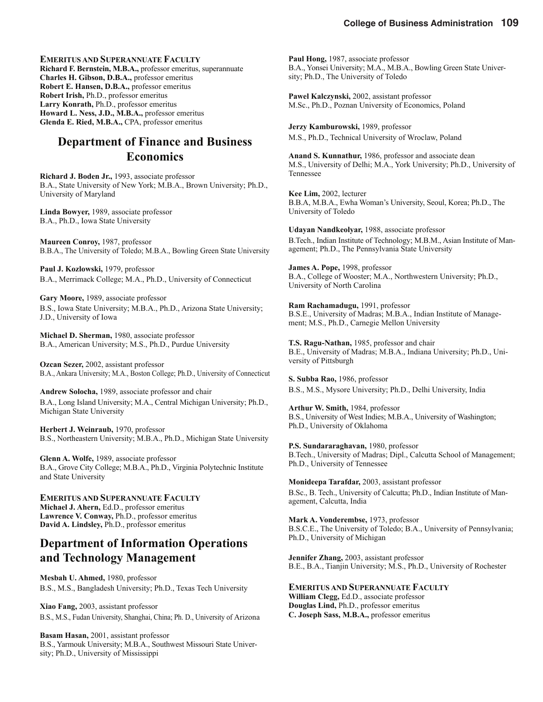**EMERITUS AND SUPERANNUATE FACULTY Richard F. Bernstein, M.B.A.,** professor emeritus, superannuate **Charles H. Gibson, D.B.A.,** professor emeritus **Robert E. Hansen, D.B.A.,** professor emeritus **Robert Irish,** Ph.D., professor emeritus **Larry Konrath,** Ph.D., professor emeritus **Howard L. Ness, J.D., M.B.A.,** professor emeritus **Glenda E. Ried, M.B.A.,** CPA, professor emeritus

### **Department of Finance and Business Economics**

**Richard J. Boden Jr.,** 1993, associate professor B.A., State University of New York; M.B.A., Brown University; Ph.D., University of Maryland

**Linda Bowyer,** 1989, associate professor B.A., Ph.D., Iowa State University

**Maureen Conroy,** 1987, professor B.B.A., The University of Toledo; M.B.A., Bowling Green State University

**Paul J. Kozlowski,** 1979, professor B.A., Merrimack College; M.A., Ph.D., University of Connecticut

**Gary Moore,** 1989, associate professor B.S., Iowa State University; M.B.A., Ph.D., Arizona State University; J.D., University of Iowa

**Michael D. Sherman,** 1980, associate professor B.A., American University; M.S., Ph.D., Purdue University

**Ozcan Sezer,** 2002, assistant professor B.A., Ankara University; M.A., Boston College; Ph.D., University of Connecticut

**Andrew Solocha,** 1989, associate professor and chair B.A., Long Island University; M.A., Central Michigan University; Ph.D., Michigan State University

**Herbert J. Weinraub,** 1970, professor B.S., Northeastern University; M.B.A., Ph.D., Michigan State University

**Glenn A. Wolfe,** 1989, associate professor B.A., Grove City College; M.B.A., Ph.D., Virginia Polytechnic Institute and State University

**EMERITUS AND SUPERANNUATE FACULTY Michael J. Ahern,** Ed.D., professor emeritus **Lawrence V. Conway,** Ph.D., professor emeritus **David A. Lindsley,** Ph.D., professor emeritus

## **Department of Information Operations and Technology Management**

**Mesbah U. Ahmed,** 1980, professor B.S., M.S., Bangladesh University; Ph.D., Texas Tech University

**Xiao Fang,** 2003, assistant professor B.S., M.S., Fudan University, Shanghai, China; Ph. D., University of Arizona

**Basam Hasan,** 2001, assistant professor B.S., Yarmouk University; M.B.A., Southwest Missouri State University; Ph.D., University of Mississippi

**Paul Hong,** 1987, associate professor B.A., Yonsei University; M.A., M.B.A., Bowling Green State University; Ph.D., The University of Toledo

**Pawel Kalczynski,** 2002, assistant professor M.Sc., Ph.D., Poznan University of Economics, Poland

**Jerzy Kamburowski,** 1989, professor M.S., Ph.D., Technical University of Wroclaw, Poland

**Anand S. Kunnathur,** 1986, professor and associate dean M.S., University of Delhi; M.A., York University; Ph.D., University of Tennessee

**Kee Lim,** 2002, lecturer B.B.A, M.B.A., Ewha Woman's University, Seoul, Korea; Ph.D., The University of Toledo

**Udayan Nandkeolyar,** 1988, associate professor B.Tech., Indian Institute of Technology; M.B.M., Asian Institute of Management; Ph.D., The Pennsylvania State University

**James A. Pope,** 1998, professor B.A., College of Wooster; M.A., Northwestern University; Ph.D., University of North Carolina

**Ram Rachamadugu,** 1991, professor B.S.E., University of Madras; M.B.A., Indian Institute of Management; M.S., Ph.D., Carnegie Mellon University

**T.S. Ragu-Nathan,** 1985, professor and chair B.E., University of Madras; M.B.A., Indiana University; Ph.D., University of Pittsburgh

**S. Subba Rao,** 1986, professor B.S., M.S., Mysore University; Ph.D., Delhi University, India

**Arthur W. Smith,** 1984, professor B.S., University of West Indies; M.B.A., University of Washington; Ph.D., University of Oklahoma

**P.S. Sundararaghavan,** 1980, professor B.Tech., University of Madras; Dipl., Calcutta School of Management; Ph.D., University of Tennessee

**Monideepa Tarafdar,** 2003, assistant professor B.Sc., B. Tech., University of Calcutta; Ph.D., Indian Institute of Management, Calcutta, India

**Mark A. Vonderembse,** 1973, professor B.S.C.E., The University of Toledo; B.A., University of Pennsylvania; Ph.D., University of Michigan

**Jennifer Zhang,** 2003, assistant professor B.E., B.A., Tianjin University; M.S., Ph.D., University of Rochester

**EMERITUS AND SUPERANNUATE FACULTY** 

**William Clegg,** Ed.D., associate professor **Douglas Lind,** Ph.D., professor emeritus **C. Joseph Sass, M.B.A.,** professor emeritus